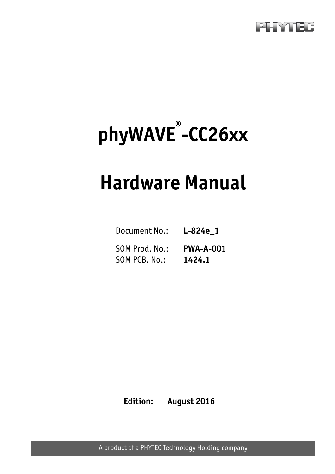

# **phyWAVE® -CC26xx**

## **Hardware Manual**

| Document No.: L-824e 1                    |        |
|-------------------------------------------|--------|
| SOM Prod. No.: PWA-A-001<br>SOM PCB. No.: | 1424.1 |

**Edition: August 2016** 

A product of a PHYTEC Technology Holding company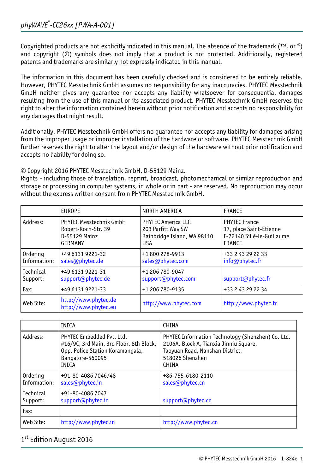Copyrighted products are not explicitly indicated in this manual. The absence of the trademark ( $TM$ , or  $\omega$ ) and copyright (©) symbols does not imply that a product is not protected. Additionally, registered patents and trademarks are similarly not expressly indicated in this manual.

The information in this document has been carefully checked and is considered to be entirely reliable. However, PHYTEC Messtechnik GmbH assumes no responsibility for any inaccuracies. PHYTEC Messtechnik GmbH neither gives any guarantee nor accepts any liability whatsoever for consequential damages resulting from the use of this manual or its associated product. PHYTEC Messtechnik GmbH reserves the right to alter the information contained herein without prior notification and accepts no responsibility for any damages that might result.

Additionally, PHYTEC Messtechnik GmbH offers no guarantee nor accepts any liability for damages arising from the improper usage or improper installation of the hardware or software. PHYTEC Messtechnik GmbH further reserves the right to alter the layout and/or design of the hardware without prior notification and accepts no liability for doing so.

© Copyright 2016 PHYTEC Messtechnik GmbH, D-55129 Mainz.

Rights - including those of translation, reprint, broadcast, photomechanical or similar reproduction and storage or processing in computer systems, in whole or in part - are reserved. No reproduction may occur without the express written consent from PHYTEC Messtechnik GmbH.

|              | <b>EUROPE</b>                                | NORTH AMERICA               | <b>FRANCE</b>              |
|--------------|----------------------------------------------|-----------------------------|----------------------------|
| Address:     | PHYTEC Messtechnik GmbH                      | <b>PHYTEC America LLC</b>   | <b>PHYTEC France</b>       |
|              | Robert-Koch-Str. 39                          | 203 Parfitt Way SW          | 17, place Saint-Etienne    |
|              | D-55129 Mainz                                | Bainbridge Island, WA 98110 | F-72140 Sillé-le-Guillaume |
|              | <b>GERMANY</b>                               | <b>USA</b>                  | FRANCE                     |
| Ordering     | +49 6131 9221-32                             | +1800278-9913               | +33 2 43 29 22 33          |
| Information: | sales@phytec.de                              | sales@phytec.com            | info@phytec.fr             |
| Technical    | +49 6131 9221-31                             | +1 206 780-9047             | support@phytec.fr          |
| Support:     | support@phytec.de                            | support@phytec.com          |                            |
| Fax:         | +49 6131 9221-33                             | +1 206 780-9135             | +33 2 43 29 22 34          |
| Web Site:    | http://www.phytec.de<br>http://www.phytec.eu | http://www.phytec.com       | http://www.phytec.fr       |

|                          | INDIA                                                                                                                                 | CHINA                                                                                                                                                      |
|--------------------------|---------------------------------------------------------------------------------------------------------------------------------------|------------------------------------------------------------------------------------------------------------------------------------------------------------|
| Address:                 | PHYTEC Embedded Pvt. Ltd.<br>#16/9C, 3rd Main, 3rd Floor, 8th Block,<br>Opp. Police Station Koramangala,<br>Bangalore-560095<br>INDIA | PHYTEC Information Technology (Shenzhen) Co. Ltd.<br>2106A, Block A, Tianxia Jinniu Square,<br>Taoyuan Road, Nanshan District,<br>518026 Shenzhen<br>CHINA |
| Ordering<br>Information: | +91-80-4086 7046/48<br>sales@phytec.in                                                                                                | +86-755-6180-2110<br>sales@phytec.cn                                                                                                                       |
| Technical<br>Support:    | +91-80-4086 7047<br>support@phytec.in                                                                                                 | support@phytec.cn                                                                                                                                          |
| Fax:                     |                                                                                                                                       |                                                                                                                                                            |
| Web Site:                | http://www.phytec.in                                                                                                                  | http://www.phytec.cn                                                                                                                                       |

#### 1st Edition August 2016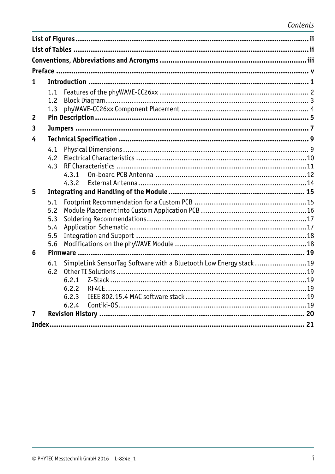| 1              |            |                                                                    |  |
|----------------|------------|--------------------------------------------------------------------|--|
|                | 1.1        |                                                                    |  |
|                | 1.2        |                                                                    |  |
|                | 1.3        |                                                                    |  |
| $\overline{2}$ |            |                                                                    |  |
| 3              |            |                                                                    |  |
| 4              |            |                                                                    |  |
|                | 4.1        |                                                                    |  |
|                | 4.2        |                                                                    |  |
|                | 4.3        |                                                                    |  |
|                |            | 4.3.1                                                              |  |
| 5              |            | 4.3.2                                                              |  |
|                |            |                                                                    |  |
|                | 5.1        |                                                                    |  |
|                | 5.2<br>5.3 |                                                                    |  |
|                | 5.4        |                                                                    |  |
|                | 5.5        |                                                                    |  |
|                | 5.6        |                                                                    |  |
| 6              |            |                                                                    |  |
|                | 6.1        | SimpleLink SensorTag Software with a Bluetooth Low Energy stack 19 |  |
|                | 6.2        |                                                                    |  |
|                |            |                                                                    |  |
|                |            | 6.2.2                                                              |  |
|                |            | 6.2.3                                                              |  |
| $\overline{7}$ |            | 6.2.4                                                              |  |
|                |            |                                                                    |  |
|                |            |                                                                    |  |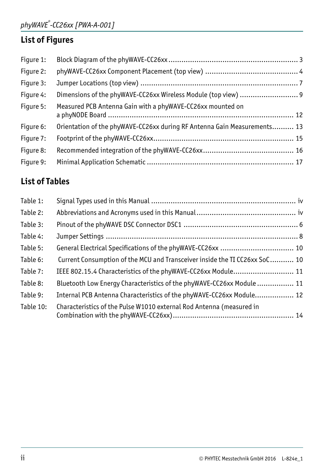## <span id="page-3-0"></span>**List of Figures**

| Figure 1: |                                                                          |  |
|-----------|--------------------------------------------------------------------------|--|
| Figure 2: |                                                                          |  |
| Figure 3: |                                                                          |  |
| Figure 4: |                                                                          |  |
| Figure 5: | Measured PCB Antenna Gain with a phyWAVE-CC26xx mounted on               |  |
| Figure 6: | Orientation of the phyWAVE-CC26xx during RF Antenna Gain Measurements 13 |  |
| Figure 7: |                                                                          |  |
| Figure 8: |                                                                          |  |
| Figure 9: |                                                                          |  |

## **List of Tables**

| Table 1:  |                                                                            |  |
|-----------|----------------------------------------------------------------------------|--|
| Table 2:  |                                                                            |  |
| Table 3:  |                                                                            |  |
| Table 4:  |                                                                            |  |
| Table 5:  |                                                                            |  |
| Table 6:  | Current Consumption of the MCU and Transceiver inside the TI CC26xx SoC 10 |  |
| Table 7:  | IEEE 802.15.4 Characteristics of the phyWAVE-CC26xx Module 11              |  |
| Table 8:  | Bluetooth Low Energy Characteristics of the phyWAVE-CC26xx Module  11      |  |
| Table 9:  | Internal PCB Antenna Characteristics of the phyWAVE-CC26xx Module 12       |  |
| Table 10: | Characteristics of the Pulse W1010 external Rod Antenna (measured in       |  |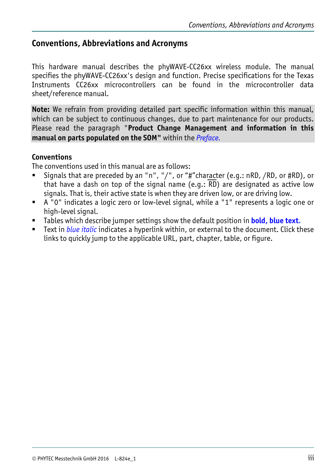## <span id="page-4-0"></span>**Conventions, Abbreviations and Acronyms**

This hardware manual describes the phyWAVE-CC26xx wireless module. The manual specifies the phyWAVE-CC26xx's design and function. Precise specifications for the Texas Instruments CC26xx microcontrollers can be found in the microcontroller data sheet/reference manual.

**Note:** We refrain from providing detailed part specific information within this manual, which can be subject to continuous changes, due to part maintenance for our products. Please read the paragraph "**Product Change Management and information in this manual on parts populated on the SOM"** within the *[Preface](#page-6-1).* 

#### **Conventions**

The conventions used in this manual are as follows:

- Signals that are preceded by an "n", "/", or "#"character (e.g.: nRD, /RD, or #RD), or that have a dash on top of the signal name (e.g.:  $\overline{RD}$ ) are designated as active low signals. That is, their active state is when they are driven low, or are driving low.
- A "0" indicates a logic zero or low-level signal, while a "1" represents a logic one or high-level signal.
- Tables which describe jumper settings show the default position in **bold, blue text.**
- Text in *blue italic* indicates a hyperlink within, or external to the document. Click these links to quickly jump to the applicable URL, part, chapter, table, or figure.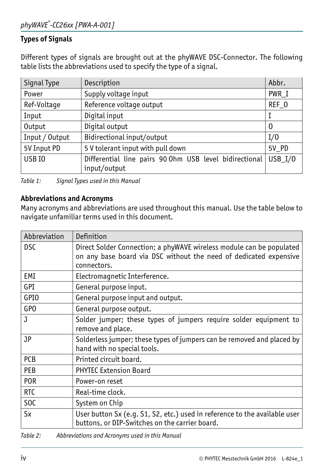#### <span id="page-5-0"></span>**Types of Signals**

Different types of signals are brought out at the phyWAVE DSC-Connector. The following table lists the abbreviations used to specify the type of a signal.

| Signal Type    | Description                                            | Abbr.          |
|----------------|--------------------------------------------------------|----------------|
| Power          | Supply voltage input                                   | PWR I          |
| Ref-Voltage    | Reference voltage output                               | REF_O          |
| Input          | Digital input                                          | I              |
| Output         | Digital output                                         | $\overline{0}$ |
| Input / Output | Bidirectional input/output                             | I/0            |
| 5V Input PD    | 5 V tolerant input with pull down<br>5V PD             |                |
| USB IO         | Differential line pairs 90 Ohm USB level bidirectional | $USB_1/0$      |
|                | input/output                                           |                |

<span id="page-5-1"></span>*Table 1: Signal Types used in this Manual* 

#### **Abbreviations and Acronyms**

Many acronyms and abbreviations are used throughout this manual. Use the table below to navigate unfamiliar terms used in this document.

| Abbreviation    | Definition                                                                                                                                               |
|-----------------|----------------------------------------------------------------------------------------------------------------------------------------------------------|
| <b>DSC</b>      | Direct Solder Connection; a phyWAVE wireless module can be populated<br>on any base board via DSC without the need of dedicated expensive<br>connectors. |
| EMI             | Electromagnetic Interference.                                                                                                                            |
| GPI             | General purpose input.                                                                                                                                   |
| <b>GPIO</b>     | General purpose input and output.                                                                                                                        |
| GPO             | General purpose output.                                                                                                                                  |
| J               | Solder jumper; these types of jumpers require solder equipment to<br>remove and place.                                                                   |
| <b>JP</b>       | Solderless jumper; these types of jumpers can be removed and placed by<br>hand with no special tools.                                                    |
| <b>PCB</b>      | Printed circuit board.                                                                                                                                   |
| <b>PEB</b>      | <b>PHYTEC Extension Board</b>                                                                                                                            |
| <b>POR</b>      | Power-on reset                                                                                                                                           |
| <b>RTC</b>      | Real-time clock.                                                                                                                                         |
| S <sub>OC</sub> | System on Chip                                                                                                                                           |
| <b>Sx</b>       | User button Sx (e.g. S1, S2, etc.) used in reference to the available user<br>buttons, or DIP-Switches on the carrier board.                             |

*Table 2: Abbreviations and Acronyms used in this Manual*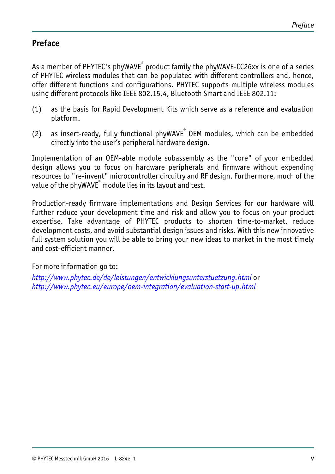## <span id="page-6-1"></span><span id="page-6-0"></span>**Preface**

As a member of PHYTEC's phyWAVE<sup>®</sup> product family the phyWAVE-CC26xx is one of a series of PHYTEC wireless modules that can be populated with different controllers and, hence, offer different functions and configurations. PHYTEC supports multiple wireless modules using different protocols like IEEE 802.15.4, Bluetooth Smart and IEEE 802.11:

- (1) as the basis for Rapid Development Kits which serve as a reference and evaluation platform.
- (2) as insert-ready, fully functional phyWAVE $^{\degree}$  OEM modules, which can be embedded directly into the user's peripheral hardware design.

Implementation of an OEM-able module subassembly as the "core" of your embedded design allows you to focus on hardware peripherals and firmware without expending resources to "re-invent" microcontroller circuitry and RF design. Furthermore, much of the value of the phyWAVE $^\circ$  module lies in its layout and test.

Production-ready firmware implementations and Design Services for our hardware will further reduce your development time and risk and allow you to focus on your product expertise. Take advantage of PHYTEC products to shorten time-to-market, reduce development costs, and avoid substantial design issues and risks. With this new innovative full system solution you will be able to bring your new ideas to market in the most timely and cost-efficient manner.

For more information go to:

*<http://www.phytec.de/de/leistungen/entwicklungsunterstuetzung.html>* or *<http://www.phytec.eu/europe/oem-integration/evaluation-start-up.html>*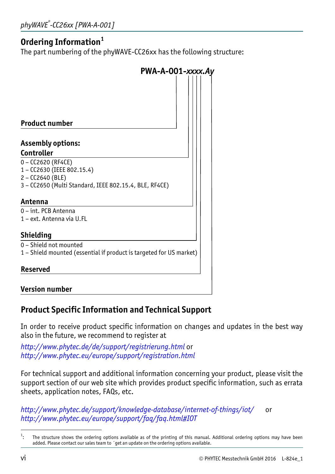## **Ordering Information[1](#page-7-0)**

The part numbering of the phyWAVE-CC26xx has the following structure:

| PWA-A-001-xxxx.Ay                                                   |
|---------------------------------------------------------------------|
|                                                                     |
|                                                                     |
| <b>Product number</b>                                               |
| <b>Assembly options:</b>                                            |
| Controller                                                          |
| $0 - CC2620 (RF4CE)$                                                |
| 1 - CC2630 (IEEE 802.15.4)                                          |
| $2 - CC2640$ (BLE)                                                  |
| 3 - CC2650 (Multi Standard, IEEE 802.15.4, BLE, RF4CE)              |
| Antenna                                                             |
| 0 - int. PCB Antenna                                                |
| 1 – ext. Antenna via U.FL                                           |
| <b>Shielding</b>                                                    |
| 0 - Shield not mounted                                              |
| 1 - Shield mounted (essential if product is targeted for US market) |
| <b>Reserved</b>                                                     |
| <b>Version number</b>                                               |

## **Product Specific Information and Technical Support**

In order to receive product specific information on changes and updates in the best way also in the future, we recommend to register at

*<http://www.phytec.de/de/support/registrierung.html>* or *<http://www.phytec.eu/europe/support/registration.html>*

For technical support and additional information concerning your product, please visit the support section of our web site which provides product specific information, such as errata sheets, application notes, FAQs, etc.

*<http://www.phytec.de/support/knowledge-database/internet-of-things/iot/>* or *<http://www.phytec.eu/europe/support/faq/faq.html#IOT>*

<span id="page-7-0"></span> $\overline{a}$ 1 The structure shows the ordering options available as of the printing of this manual. Additional ordering options may have been added. Please contact our sales team to ´get an update on the ordering options available.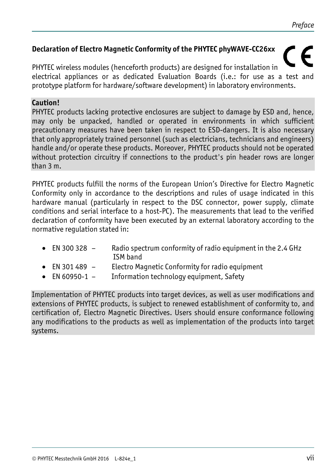#### **Declaration of Electro Magnetic Conformity of the PHYTEC phyWAVE-CC26xx**

PHYTEC wireless modules (henceforth products) are designed for installation in electrical appliances or as dedicated Evaluation Boards (i.e.: for use as a test and prototype platform for hardware/software development) in laboratory environments.

#### **Caution!**

PHYTEC products lacking protective enclosures are subject to damage by ESD and, hence, may only be unpacked, handled or operated in environments in which sufficient precautionary measures have been taken in respect to ESD-dangers. It is also necessary that only appropriately trained personnel (such as electricians, technicians and engineers) handle and/or operate these products. Moreover, PHYTEC products should not be operated without protection circuitry if connections to the product's pin header rows are longer than 3 m.

PHYTEC products fulfill the norms of the European Union's Directive for Electro Magnetic Conformity only in accordance to the descriptions and rules of usage indicated in this hardware manual (particularly in respect to the DSC connector, power supply, climate conditions and serial interface to a host-PC). The measurements that lead to the verified declaration of conformity have been executed by an external laboratory according to the normative regulation stated in:

- EN 300 328  $-$  Radio spectrum conformity of radio equipment in the 2.4 GHz ISM band
- EN 301 489 Electro Magnetic Conformity for radio equipment
- EN 60950-1 Information technology equipment, Safety

Implementation of PHYTEC products into target devices, as well as user modifications and extensions of PHYTEC products, is subject to renewed establishment of conformity to, and certification of, Electro Magnetic Directives. Users should ensure conformance following any modifications to the products as well as implementation of the products into target systems.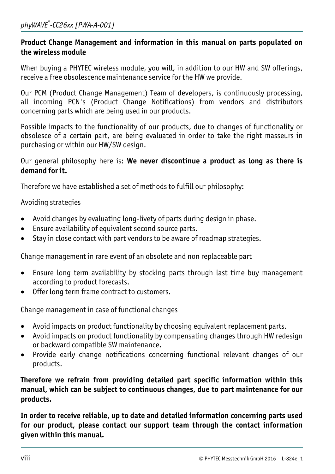#### **Product Change Management and information in this manual on parts populated on the wireless module**

When buying a PHYTEC wireless module, you will, in addition to our HW and SW offerings, receive a free obsolescence maintenance service for the HW we provide.

Our PCM (Product Change Management) Team of developers, is continuously processing, all incoming PCN's (Product Change Notifications) from vendors and distributors concerning parts which are being used in our products.

Possible impacts to the functionality of our products, due to changes of functionality or obsolesce of a certain part, are being evaluated in order to take the right masseurs in purchasing or within our HW/SW design.

#### Our general philosophy here is: **We never discontinue a product as long as there is demand for it.**

Therefore we have established a set of methods to fulfill our philosophy:

Avoiding strategies

- Avoid changes by evaluating long-livety of parts during design in phase.
- Ensure availability of equivalent second source parts.
- Stay in close contact with part vendors to be aware of roadmap strategies.

Change management in rare event of an obsolete and non replaceable part

- Ensure long term availability by stocking parts through last time buy management according to product forecasts.
- Offer long term frame contract to customers.

Change management in case of functional changes

- Avoid impacts on product functionality by choosing equivalent replacement parts.
- Avoid impacts on product functionality by compensating changes through HW redesign or backward compatible SW maintenance.
- Provide early change notifications concerning functional relevant changes of our products.

**Therefore we refrain from providing detailed part specific information within this manual, which can be subject to continuous changes, due to part maintenance for our products.** 

**In order to receive reliable, up to date and detailed information concerning parts used for our product, please contact our support team through the contact information given within this manual.**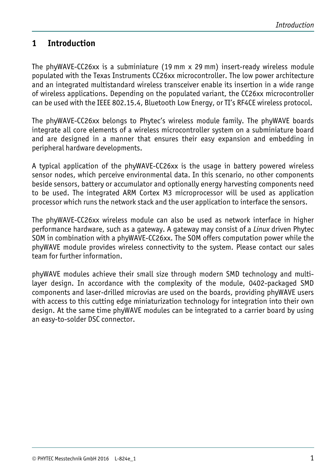## <span id="page-10-0"></span>**1 Introduction**

The phyWAVE-CC26xx is a subminiature (19 mm x 29 mm) insert-ready wireless module populated with the Texas Instruments CC26xx microcontroller. The low power architecture and an integrated multistandard wireless transceiver enable its insertion in a wide range of wireless applications. Depending on the populated variant, the CC26xx microcontroller can be used with the IEEE 802.15.4, Bluetooth Low Energy, or TI's RF4CE wireless protocol.

The phyWAVE-CC26xx belongs to Phytec's wireless module family. The phyWAVE boards integrate all core elements of a wireless microcontroller system on a subminiature board and are designed in a manner that ensures their easy expansion and embedding in peripheral hardware developments.

A typical application of the phyWAVE-CC26xx is the usage in battery powered wireless sensor nodes, which perceive environmental data. In this scenario, no other components beside sensors, battery or accumulator and optionally energy harvesting components need to be used. The integrated ARM Cortex M3 microprocessor will be used as application processor which runs the network stack and the user application to interface the sensors.

The phyWAVE-CC26xx wireless module can also be used as network interface in higher performance hardware, such as a gateway. A gateway may consist of a *Linux* driven Phytec SOM in combination with a phyWAVE-CC26xx. The SOM offers computation power while the phyWAVE module provides wireless connectivity to the system. Please contact our sales team for further information.

phyWAVE modules achieve their small size through modern SMD technology and multilayer design. In accordance with the complexity of the module, 0402-packaged SMD components and laser-drilled microvias are used on the boards, providing phyWAVE users with access to this cutting edge miniaturization technology for integration into their own design. At the same time phyWAVE modules can be integrated to a carrier board by using an easy-to-solder DSC connector.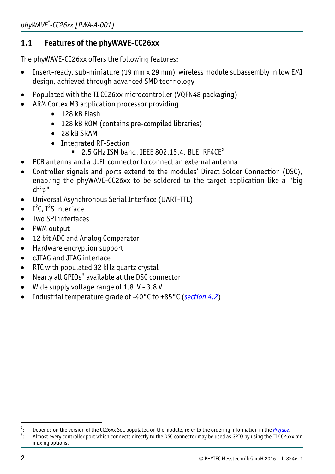## <span id="page-11-0"></span>**1.1 Features of the phyWAVE-CC26xx**

The phyWAVE-CC26xx offers the following features:

- Insert-ready, sub-miniature (19 mm x 29 mm) wireless module subassembly in low EMI design, achieved through advanced SMD technology
- Populated with the TI CC26xx microcontroller (VQFN48 packaging)
- ARM Cortex M3 application processor providing
	- 128 kB Flash
	- 128 kB ROM (contains pre-compiled libraries)
	- 28 kB SRAM
	- Integrated RF-Section
		- $\overline{2.5}$  $\overline{2.5}$  $\overline{2.5}$  GHz ISM band, IEEE 802.15.4, BLE, RF4CE<sup>2</sup>
- PCB antenna and a U.FL connector to connect an external antenna
- Controller signals and ports extend to the modules' Direct Solder Connection (DSC), enabling the phyWAVE-CC26xx to be soldered to the target application like a "big chip"
- Universal Asynchronous Serial Interface (UART-TTL)
- $\bullet$  I<sup>2</sup>C, I<sup>2</sup>S interface
- Two SPI interfaces
- PWM output
- 12 bit ADC and Analog Comparator
- Hardware encryption support
- cJTAG and JTAG interface
- RTC with populated 32 kHz quartz crystal
- $\bullet$  Nearly all GPIOs<sup>[3](#page-11-2)</sup> available at the DSC connector
- Wide supply voltage range of 1.8 V 3.8 V
- Industrial temperature grade of -40°C to +85°C (*section [4.2](#page-19-1)*)

 $\overline{2}$ <sup>2</sup>: Depends on the version of the CC26xx SoC populated on the module, refer to the ordering information in the Preface.<br><sup>3</sup>: Almost every controller port which connects directly to the DSC connector may be used as GPIO by

<span id="page-11-2"></span><span id="page-11-1"></span>Almost every controller port which connects directly to the DSC connector may be used as GPIO by using the TI CC26xx pin muxing options.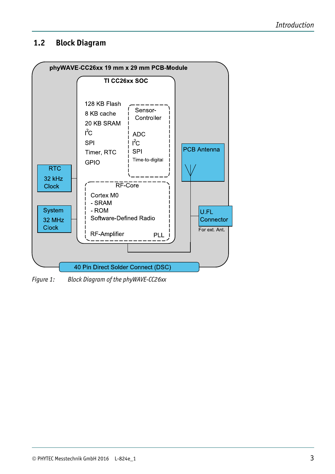#### <span id="page-12-0"></span>**1.2 Block Diagram**



*Figure 1: Block Diagram of the phyWAVE-CC26xx*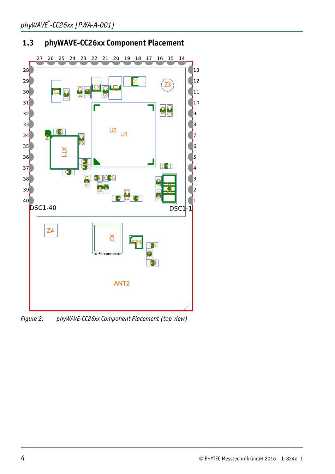## <span id="page-13-0"></span>**1.3 phyWAVE-CC26xx Component Placement**



*Figure 2: phyWAVE-CC26xx Component Placement (top view)*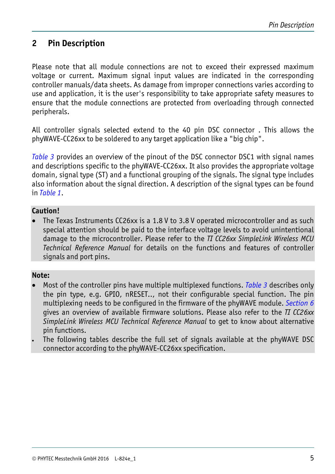## <span id="page-14-0"></span>**2 Pin Description**

Please note that all module connections are not to exceed their expressed maximum voltage or current. Maximum signal input values are indicated in the corresponding controller manuals/data sheets. As damage from improper connections varies according to use and application, it is the user's responsibility to take appropriate safety measures to ensure that the module connections are protected from overloading through connected peripherals.

All controller signals selected extend to the 40 pin DSC connector . This allows the phyWAVE-CC26xx to be soldered to any target application like a "big chip".

*[Table 3](#page-15-1)* provides an overview of the pinout of the DSC connector DSC1 with signal names and descriptions specific to the phyWAVE-CC26xx. It also provides the appropriate voltage domain, signal type (ST) and a functional grouping of the signals. The signal type includes also information about the signal direction. A description of the signal types can be found in *[Table 1](#page-5-1)*.

#### **Caution!**

• The Texas Instruments CC26xx is a 1.8 V to 3.8 V operated microcontroller and as such special attention should be paid to the interface voltage levels to avoid unintentional damage to the microcontroller. Please refer to the *TI CC26xx SimpleLink Wireless MCU Technical Reference Manual* for details on the functions and features of controller signals and port pins.

#### **Note:**

- Most of the controller pins have multiple multiplexed functions. *[Table 3](#page-15-2)* describes only the pin type, e.g. GPIO, nRESET.., not their configurable special function. The pin multiplexing needs to be configured in the firmware of the phyWAVE module. *Section [6](#page-28-1)* gives an overview of available firmware solutions. Please also refer to the *TI CC26xx SimpleLink Wireless MCU Technical Reference Manual* to get to know about alternative pin functions.
- The following tables describe the full set of signals available at the phyWAVE DSC connector according to the phyWAVE-CC26xx specification.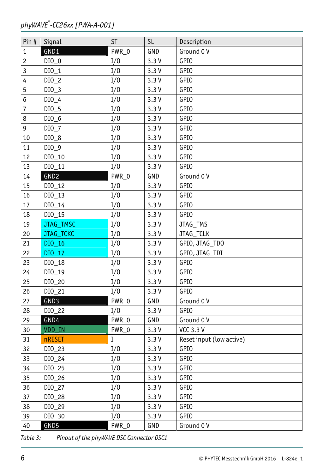#### <span id="page-15-0"></span>*phyWAVE® -CC26xx [PWA-A-001]*

| Pin#             | Signal           | <b>ST</b> | <b>SL</b> | Description              |
|------------------|------------------|-----------|-----------|--------------------------|
| $\mathbf{1}$     | GND1             | PWR_0     | GND       | Ground 0 V               |
| $\overline{c}$   | $DIO_0$          | I/0       | 3.3V      | <b>GPIO</b>              |
| $\overline{3}$   | $DI0_1$          | I/0       | 3.3V      | <b>GPIO</b>              |
| $\overline{4}$   | $DIO_2$          | I/0       | 3.3V      | <b>GPIO</b>              |
| $\overline{5}$   | $DIO_3$          | I/0       | 3.3V      | <b>GPIO</b>              |
| 6                | $DIO_4$          | I/0       | 3.3V      | <b>GPIO</b>              |
| $\boldsymbol{7}$ | $DIO_5$          | I/0       | 3.3V      | <b>GPIO</b>              |
| $\bf 8$          | $DIO_6$          | I/0       | 3.3V      | <b>GPIO</b>              |
| $\mathsf{g}\,$   | $DI0_7$          | I/0       | 3.3V      | <b>GPIO</b>              |
| $10\,$           | $DIO_8$          | I/0       | 3.3V      | <b>GPIO</b>              |
| 11               | $DIO_9$          | I/0       | 3.3V      | <b>GPIO</b>              |
| 12               | $DIO_10$         | I/0       | 3.3V      | <b>GPIO</b>              |
| 13               | $DI0_11$         | I/0       | 3.3V      | <b>GPIO</b>              |
| 14               | GND <sub>2</sub> | PWR_0     | GND       | Ground 0V                |
| 15               | $DIO_12$         | I/0       | 3.3V      | <b>GPIO</b>              |
| 16               | $DIO_13$         | I/0       | 3.3V      | <b>GPIO</b>              |
| $17\,$           | $DI0_14$         | I/0       | 3.3V      | <b>GPIO</b>              |
| 18               | $DI0_15$         | I/0       | 3.3V      | <b>GPIO</b>              |
| 19               | JTAG_TMSC        | I/0       | 3.3V      | JTAG_TMS                 |
| 20               | JTAG_TCKC        | I/0       | 3.3V      | JTAG_TCLK                |
| 21               | DIO_16           | I/0       | 3.3V      | GPIO, JTAG_TDO           |
| 22               | DI0 17           | I/0       | 3.3V      | GPIO, JTAG_TDI           |
| 23               | $DI0_18$         | I/0       | 3.3V      | <b>GPIO</b>              |
| 24               | DIO 19           | I/0       | 3.3V      | <b>GPIO</b>              |
| 25               | $DI0_20$         | I/0       | 3.3V      | <b>GPIO</b>              |
| 26               | $DI0_21$         | I/0       | 3.3V      | <b>GPIO</b>              |
| 27               | GND3             | PWR_0     | GND       | Ground 0V                |
| 28               | $DIO_22$         | I/0       | 3.3V      | <b>GPIO</b>              |
| 29               | GND4             | PWR_0     | GND       | Ground 0 V               |
| 30 <sub>2</sub>  | VDD_IN           | PWR_0     | 3.3V      | <b>VCC 3.3 V</b>         |
| 31               | <b>nRESET</b>    | I         | 3.3V      | Reset input (low active) |
| 32               | $DIO_23$         | I/0       | 3.3V      | <b>GPIO</b>              |
| 33               | $DI0_24$         | I/0       | 3.3V      | <b>GPIO</b>              |
| 34               | $DI0_25$         | I/0       | 3.3V      | <b>GPIO</b>              |
| 35               | $DI0_26$         | I/0       | 3.3V      | <b>GPIO</b>              |
| 36               | $DI0_27$         | I/0       | 3.3V      | GPIO                     |
| 37               | $DIO_28$         | I/0       | 3.3V      | <b>GPIO</b>              |
| 38               | DIO_29           | I/0       | 3.3V      | <b>GPIO</b>              |
| 39               | DIO_30           | I/0       | 3.3V      | <b>GPIO</b>              |
| 40               | GND5             | PWR_0     | GND       | Ground 0 V               |

<span id="page-15-2"></span><span id="page-15-1"></span>*Table 3: Pinout of the phyWAVE DSC Connector DSC1*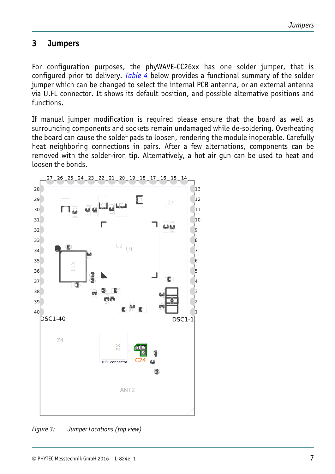#### <span id="page-16-0"></span>**3 Jumpers**

For configuration purposes, the phyWAVE-CC26xx has one solder jumper, that is configured prior to delivery. *[Table 4](#page-17-1)* below provides a functional summary of the solder jumper which can be changed to select the internal PCB antenna, or an external antenna via U.FL connector. It shows its default position, and possible alternative positions and functions.

If manual jumper modification is required please ensure that the board as well as surrounding components and sockets remain undamaged while de-soldering. Overheating the board can cause the solder pads to loosen, rendering the module inoperable. Carefully heat neighboring connections in pairs. After a few alternations, components can be removed with the solder-iron tip. Alternatively, a hot air gun can be used to heat and loosen the bonds.



*Figure 3: Jumper Locations (top view)*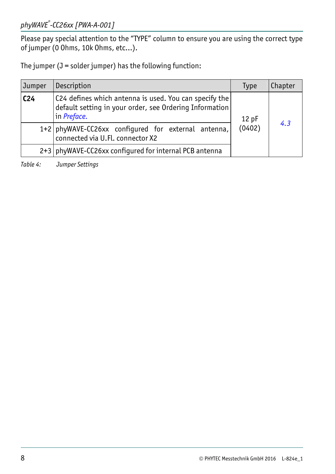<span id="page-17-0"></span>Please pay special attention to the "TYPE" column to ensure you are using the correct type of jumper (0 Ohms, 10k Ohms, etc…).

The jumper  $(J =$  solder jumper) has the following function:

| Jumper          | Description                                                                                                                              | Type | Chapter |
|-----------------|------------------------------------------------------------------------------------------------------------------------------------------|------|---------|
| C <sub>24</sub> | C24 defines which antenna is used. You can specify the<br>default setting in your order, see Ordering Information<br>in <i>Preface</i> . | 12pF |         |
|                 | (0402)<br>1+2   phyWAVE-CC26xx configured for external antenna,<br>connected via U.Fl. connector X2                                      |      | 4.3     |
|                 | 2+3   phyWAVE-CC26xx configured for internal PCB antenna                                                                                 |      |         |

<span id="page-17-1"></span>*Table 4: Jumper Settings*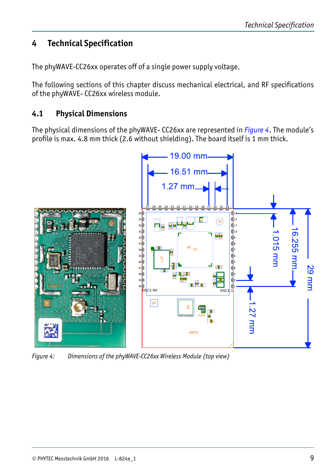## <span id="page-18-0"></span>**4 Technical Specification**

The phyWAVE-CC26xx operates off of a single power supply voltage.

The following sections of this chapter discuss mechanical electrical, and RF specifications of the phyWAVE- CC26xx wireless module.

#### **4.1 Physical Dimensions**

The physical dimensions of the phyWAVE- CC26xx are represented in *[Figure 4](#page-18-1)*. The module's profile is max. 4.8 mm thick (2.6 without shielding). The board itself is 1 mm thick.



<span id="page-18-1"></span>*Figure 4: Dimensions of the phyWAVE-CC26xx Wireless Module (top view)*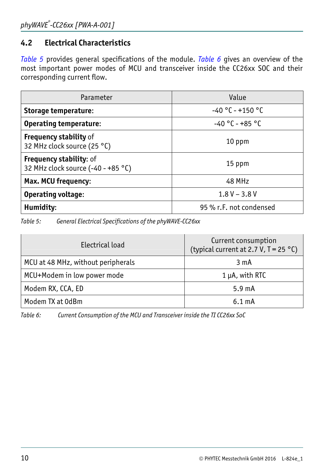## <span id="page-19-1"></span><span id="page-19-0"></span>**4.2 Electrical Characteristics**

*[Table 5](#page-19-2)* provides general specifications of the module. *[Table 6](#page-19-3)* gives an overview of the most important power modes of MCU and transceiver inside the CC26xx SOC and their corresponding current flow.

| Parameter                                                            | Value                   |
|----------------------------------------------------------------------|-------------------------|
| Storage temperature:                                                 | $-40 °C - +150 °C$      |
| <b>Operating temperature:</b>                                        | $-40 °C - +85 °C$       |
| <b>Frequency stability of</b><br>32 MHz clock source (25 °C)         | 10 ppm                  |
| <b>Frequency stability: of</b><br>32 MHz clock source (-40 - +85 °C) | 15 ppm                  |
| Max. MCU frequency:                                                  | 48 MHz                  |
| <b>Operating voltage:</b>                                            | $1.8 V - 3.8 V$         |
| Humidity:                                                            | 95 % r.F. not condensed |

<span id="page-19-2"></span>*Table 5: General Electrical Specifications of the phyWAVE-CC26xx* 

| Electrical load                    | Current consumption<br>(typical current at 2.7 V, $T = 25 °C$ ) |  |
|------------------------------------|-----------------------------------------------------------------|--|
| MCU at 48 MHz, without peripherals | 3 <sub>m</sub> A                                                |  |
| MCU+Modem in low power mode        | $1 \mu A$ , with RTC                                            |  |
| Modem RX, CCA, ED                  | $5.9 \text{ mA}$                                                |  |
| Modem TX at 0dBm                   | $6.1 \text{ mA}$                                                |  |

<span id="page-19-3"></span>*Table 6: Current Consumption of the MCU and Transceiver inside the TI CC26xx SoC*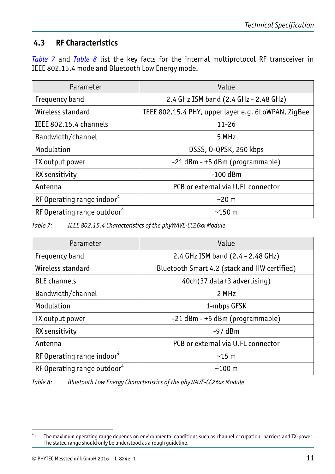## <span id="page-20-1"></span><span id="page-20-0"></span>**4.3 RF Characteristics**

*[Table 7](#page-20-2)* and *[Table 8](#page-20-3)* list the key facts for the internal multiprotocol RF transceiver in IEEE 802.15.4 mode and Bluetooth Low Energy mode.

| Parameter                               | Value                                               |  |
|-----------------------------------------|-----------------------------------------------------|--|
| Frequency band                          | 2.4 GHz ISM band (2.4 GHz - 2.48 GHz)               |  |
| Wireless standard                       | IEEE 802.15.4 PHY, upper layer e.g. 6LoWPAN, ZigBee |  |
| IEEE 802.15.4 channels                  | $11 - 26$                                           |  |
| Bandwidth/channel                       | 5 MHz                                               |  |
| Modulation                              | DSSS, 0-QPSK, 250 kbps                              |  |
| TX output power                         | -21 dBm - +5 dBm (programmable)                     |  |
| RX sensitivity                          | $-100$ dBm                                          |  |
| Antenna                                 | PCB or external via U.FL connector                  |  |
| RF Operating range indoor <sup>4</sup>  | $\sim$ 20 m                                         |  |
| RF Operating range outdoor <sup>4</sup> | $\sim$ 150 m                                        |  |

<span id="page-20-5"></span><span id="page-20-2"></span>*Table 7: IEEE 802.15.4 Characteristics of the phyWAVE-CC26xx Module* 

| Parameter                               | Value                                        |
|-----------------------------------------|----------------------------------------------|
| Frequency band                          | 2.4 GHz ISM band (2.4 - 2.48 GHz)            |
| Wireless standard                       | Bluetooth Smart 4.2 (stack and HW certified) |
| <b>BLE</b> channels                     | 40ch(37 data+3 advertising)                  |
| Bandwidth/channel                       | 2 MHz                                        |
| Modulation                              | 1-mbps GFSK                                  |
| TX output power                         | -21 dBm - +5 dBm (programmable)              |
| RX sensitivity                          | $-97$ dBm                                    |
| Antenna                                 | PCB or external via U.FL connector           |
| RF Operating range indoor <sup>4</sup>  | $~15 \text{ m}$                              |
| RF Operating range outdoor <sup>4</sup> | $~100 \text{ m}$                             |

<span id="page-20-3"></span>*Table 8: Bluetooth Low Energy Characteristics of the phyWAVE-CC26xx Module* 

<span id="page-20-4"></span> 4 : The maximum operating range depends on environmental conditions such as channel occupation, barriers and TX-power. The stated range should only be understood as a rough guideline.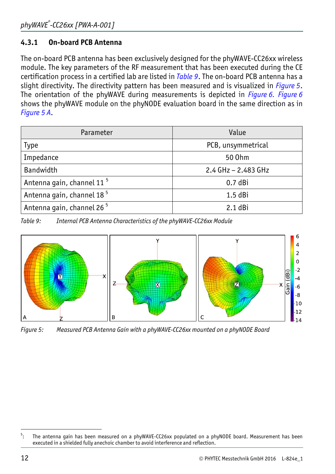#### <span id="page-21-5"></span><span id="page-21-0"></span>**4.3.1 On-board PCB Antenna**

The on-board PCB antenna has been exclusively designed for the phyWAVE-CC26xx wireless module. The key parameters of the RF measurement that has been executed during the CE certification process in a certified lab are listed in *[Table 9](#page-21-1)*. The on-board PCB antenna has a slight directivity. The directivity pattern has been measured and is visualized in *[Figure 5](#page-21-2)*. The orientation of the phyWAVE during measurements is depicted in *[Figure 6.](#page-22-1) [Figure 6](#page-22-1)* shows the phyWAVE module on the phyNODE evaluation board in the same direction as in *[Figure 5](#page-21-2) A*.

| Parameter                             | Value                 |  |
|---------------------------------------|-----------------------|--|
| Type                                  | PCB, unsymmetrical    |  |
| Impedance                             | 50 0hm                |  |
| Bandwidth                             | $2.4$ GHz - 2.483 GHz |  |
| Antenna gain, channel 11 <sup>5</sup> | $0.7$ dBi             |  |
| Antenna gain, channel 18 <sup>5</sup> | $1.5$ dBi             |  |
| Antenna gain, channel 26 <sup>5</sup> | $2.1$ dBi             |  |

<span id="page-21-4"></span><span id="page-21-1"></span>*Table 9: Internal PCB Antenna Characteristics of the phyWAVE-CC26xx Module* 



<span id="page-21-2"></span>*Figure 5: Measured PCB Antenna Gain with a phyWAVE-CC26xx mounted on a phyNODE Board* 

<span id="page-21-3"></span><sup>-&</sup>lt;br>5 The antenna gain has been measured on a phyWAVE-CC26xx populated on a phyNODE board. Measurement has been executed in a shielded fully anechoic chamber to avoid interference and reflection.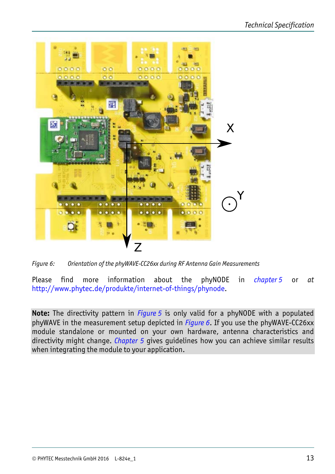<span id="page-22-0"></span>

*Figure 6: Orientation of the phyWAVE-CC26xx during RF Antenna Gain Measurements* 

<span id="page-22-1"></span>Please find more information about the phyNODE in *chapter* [5](#page-24-1) or at <http://www.phytec.de/produkte/internet-of-things/phynode>.

**Note:** The directivity pattern in *[Figure 5](#page-21-2)* is only valid for a phyNODE with a populated phyWAVE in the measurement setup depicted in *[Figure 6](#page-22-1)*. If you use the phyWAVE-CC26xx module standalone or mounted on your own hardware, antenna characteristics and directivity might change. *Chapter [5](#page-24-1)* gives guidelines how you can achieve similar results when integrating the module to your application.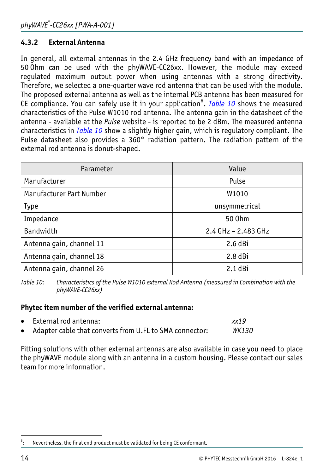#### <span id="page-23-0"></span>**4.3.2 External Antenna**

In general, all external antennas in the 2.4 GHz frequency band with an impedance of 50 Ohm can be used with the phyWAVE-CC26xx. However, the module may exceed regulated maximum output power when using antennas with a strong directivity. Therefore, we selected a one-quarter wave rod antenna that can be used with the module. The proposed external antenna as well as the internal PCB antenna has been measured for CE compliance. You can safely use it in your application<sup>[6](#page-23-1)</sup>. *[Table 10](#page-23-2)* shows the measured characteristics of the Pulse W1010 rod antenna. The antenna gain in the datasheet of the antenna - available at the *Pulse* website - is reported to be 2 dBm. The measured antenna characteristics in *[Table 10](#page-23-2)* show a slightly higher gain, which is regulatory compliant. The Pulse datasheet also provides a 360° radiation pattern. The radiation pattern of the external rod antenna is donut-shaped.

| Parameter                | Value                 |
|--------------------------|-----------------------|
| Manufacturer             | Pulse                 |
| Manufacturer Part Number | W1010                 |
| <b>Type</b>              | unsymmetrical         |
| Impedance                | 50 0hm                |
| Bandwidth                | 2.4 $GHz - 2.483 GHz$ |
| Antenna gain, channel 11 | $2.6$ dBi             |
| Antenna gain, channel 18 | $2.8$ dBi             |
| Antenna gain, channel 26 | $2.1$ dBi             |

<span id="page-23-2"></span>*Table 10: Characteristics of the Pulse W1010 external Rod Antenna (measured in Combination with the phyWAVE-CC26xx)* 

#### **Phytec item number of the verified external antenna:**

| • External rod antenna:                                 | xx19         |
|---------------------------------------------------------|--------------|
| Adapter cable that converts from U.FL to SMA connector: | <i>WK130</i> |

Fitting solutions with other external antennas are also available in case you need to place the phyWAVE module along with an antenna in a custom housing. Please contact our sales team for more information.

<span id="page-23-1"></span> $\overline{a}$ 6 Nevertheless, the final end product must be validated for being CE conformant.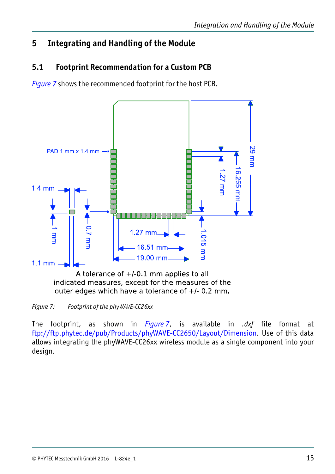## <span id="page-24-1"></span><span id="page-24-0"></span>**5 Integrating and Handling of the Module**

## **5.1 Footprint Recommendation for a Custom PCB**

*[Figure 7](#page-24-2)* shows the recommended footprint for the host PCB.



indicated measures, except for the measures of the outer edges which have a tolerance of  $+/-0.2$  mm.

<span id="page-24-2"></span>*Figure 7: Footprint of the phyWAVE-CC26xx* 

The footprint, as shown in *[Figure 7](#page-24-2)*, is available in *.dxf* file format at [ftp://ftp.phytec.de/pub/Products/phyWAVE-CC2650/Layout/Dimension](ftp://ftp.phytec.de/pub/Products/phyWAVE-CC2650/Layout/Dimension/). Use of this data allows integrating the phyWAVE-CC26xx wireless module as a single component into your design.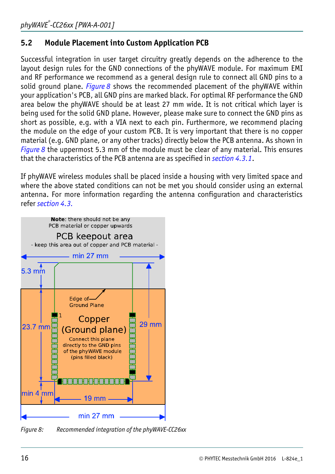## <span id="page-25-0"></span>**5.2 Module Placement into Custom Application PCB**

Successful integration in user target circuitry greatly depends on the adherence to the layout design rules for the GND connections of the phyWAVE module. For maximum EMI and RF performance we recommend as a general design rule to connect all GND pins to a solid ground plane. *[Figure 8](#page-25-1)* shows the recommended placement of the phyWAVE within your application's PCB, all GND pins are marked black. For optimal RF performance the GND area below the phyWAVE should be at least 27 mm wide. It is not critical which layer is being used for the solid GND plane. However, please make sure to connect the GND pins as short as possible, e.g. with a VIA next to each pin. Furthermore, we recommend placing the module on the edge of your custom PCB. It is very important that there is no copper material (e.g. GND plane, or any other tracks) directly below the PCB antenna. As shown in *[Figure 8](#page-25-1)* the uppermost 5.3 mm of the module must be clear of any material. This ensures that the characteristics of the PCB antenna are as specified in *section [4.3.1](#page-21-5)*.

If phyWAVE wireless modules shall be placed inside a housing with very limited space and where the above stated conditions can not be met you should consider using an external antenna. For more information regarding the antenna configuration and characteristics refer *section [4.3.](#page-20-1)*



<span id="page-25-1"></span>*Figure 8: Recommended integration of the phyWAVE-CC26xx*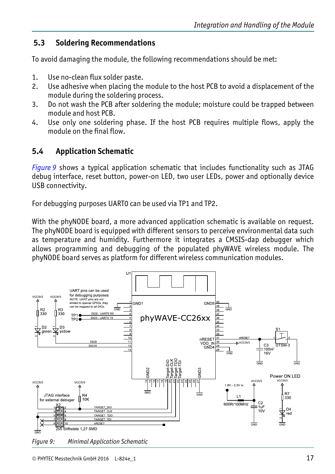#### <span id="page-26-0"></span>**5.3 Soldering Recommendations**

To avoid damaging the module, the following recommendations should be met:

- 1. Use no-clean flux solder paste.
- 2. Use adhesive when placing the module to the host PCB to avoid a displacement of the module during the soldering process.
- 3. Do not wash the PCB after soldering the module; moisture could be trapped between module and host PCB.
- 4. Use only one soldering phase. If the host PCB requires multiple flows, apply the module on the final flow.

## **5.4 Application Schematic**

*[Figure 9](#page-26-1)* shows a typical application schematic that includes functionality such as JTAG debug interface, reset button, power-on LED, two user LEDs, power and optionally device USB connectivity.

For debugging purposes UART0 can be used via TP1 and TP2.

With the phyNODE board, a more advanced application schematic is available on request. The phyNODE board is equipped with different sensors to perceive environmental data such as temperature and humidity. Furthermore it integrates a CMSIS-dap debugger which allows programming and debugging of the populated phyWAVE wireless module. The phyNODE board serves as platform for different wireless communication modules.



<span id="page-26-1"></span>*Figure 9: Minimal Application Schematic*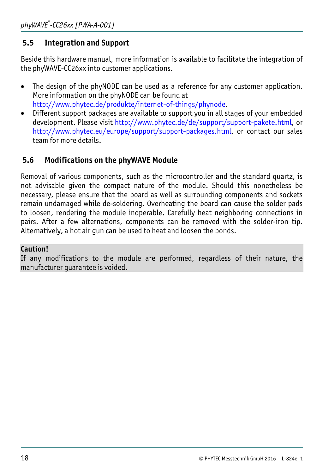#### <span id="page-27-0"></span>**5.5 Integration and Support**

Beside this hardware manual, more information is available to facilitate the integration of the phyWAVE-CC26xx into customer applications.

- The design of the phyNODE can be used as a reference for any customer application. More information on the phyNODE can be found at [http://www.phytec.de/produkte/internet-of-things/phynode.](http://www.phytec.de/produkte/internet-of-things/phynode)
- Different support packages are available to support you in all stages of your embedded development. Please visit [http://www.phytec.de/de/support/support-pakete.html,](http://www.phytec.de/de/support/support-pakete.html) or <http://www.phytec.eu/europe/support/support-packages.html>, or contact our sales team for more details.

#### **5.6 Modifications on the phyWAVE Module**

Removal of various components, such as the microcontroller and the standard quartz, is not advisable given the compact nature of the module. Should this nonetheless be necessary, please ensure that the board as well as surrounding components and sockets remain undamaged while de-soldering. Overheating the board can cause the solder pads to loosen, rendering the module inoperable. Carefully heat neighboring connections in pairs. After a few alternations, components can be removed with the solder-iron tip. Alternatively, a hot air gun can be used to heat and loosen the bonds.

#### **Caution!**

If any modifications to the module are performed, regardless of their nature, the manufacturer guarantee is voided.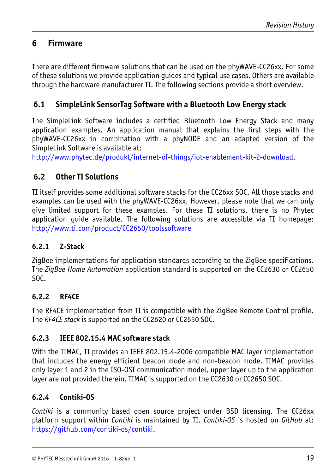## <span id="page-28-1"></span><span id="page-28-0"></span>**6 Firmware**

There are different firmware solutions that can be used on the phyWAVE-CC26xx. For some of these solutions we provide application guides and typical use cases. Others are available through the hardware manufacturer TI. The following sections provide a short overview.

#### **6.1 SimpleLink SensorTag Software with a Bluetooth Low Energy stack**

The SimpleLink Software includes a certified Bluetooth Low Energy Stack and many application examples. An application manual that explains the first steps with the phyWAVE-CC26xx in combination with a phyNODE and an adapted version of the SimpleLink Software is available at:

[http://www.phytec.de/produkt/internet-of-things/iot-enablement-kit-2-download](http://www.phytec.de/produkt/internet-of-things/iot-enablement-kit-2-download/).

#### **6.2 Other TI Solutions**

TI itself provides some additional software stacks for the CC26xx SOC. All those stacks and examples can be used with the phyWAVE-CC26xx. However, please note that we can only give limited support for these examples. For these TI solutions, there is no Phytec application guide available. The following solutions are accessible via TI homepage: [http://www.ti.com/product/CC2650/toolssoftware](http://www.ti.com/product/CC2650/toolssoftware#softTools)

#### **6.2.1 Z-Stack**

ZigBee implementations for application standards according to the ZigBee specifications. The *ZigBee Home Automation* application standard is supported on the CC2630 or CC2650 SOC.

#### **6.2.2 RF4CE**

The RF4CE implementation from TI is compatible with the ZigBee Remote Control profile. The *RF4CE stack* is supported on the CC2620 or CC2650 SOC.

#### **6.2.3 IEEE 802.15.4 MAC software stack**

With the TIMAC, TI provides an IEEE 802.15.4-2006 compatible MAC layer implementation that includes the energy efficient beacon mode and non-beacon mode. TIMAC provides only layer 1 and 2 in the ISO-OSI communication model, upper layer up to the application layer are not provided therein. TIMAC is supported on the CC2630 or CC2650 SOC.

#### **6.2.4 Contiki-OS**

*Contiki* is a community based open source project under BSD licensing. The CC26xx platform support within *Contiki* is maintained by TI. *Contiki-OS* is hosted on *GitHub* at: [https://github.com/contiki-os/contiki.](https://github.com/contiki-os/contiki)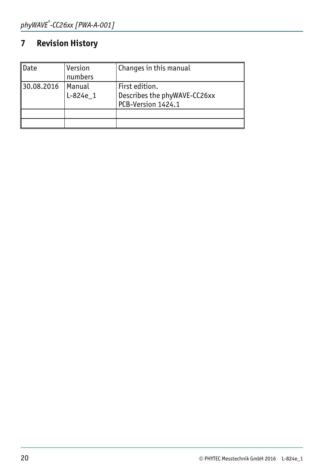## <span id="page-29-0"></span>**7 Revision History**

| ∥Date      | Version<br>numbers | Changes in this manual                                               |
|------------|--------------------|----------------------------------------------------------------------|
| 30.08.2016 | Manual<br>L-824e 1 | First edition.<br>Describes the phyWAVE-CC26xx<br>PCB-Version 1424.1 |
|            |                    |                                                                      |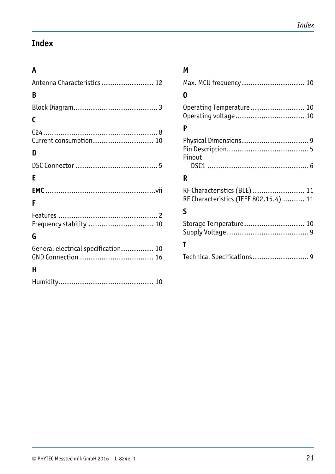## <span id="page-30-0"></span>**Index**

#### **A**

| Antenna Characteristics  12         |
|-------------------------------------|
| B                                   |
|                                     |
| C                                   |
| Current consumption 10              |
| D                                   |
|                                     |
| Е                                   |
|                                     |
| F                                   |
| Frequency stability  10             |
| G                                   |
| General electrical specification 10 |
| н                                   |
|                                     |

#### **M**

| Max. MCU frequency  10 |  |
|------------------------|--|
| 0                      |  |

| Operating Temperature 10 |  |
|--------------------------|--|
|                          |  |

#### **P**

| Pinout |  |
|--------|--|
|        |  |

#### **R**

| RF Characteristics (BLE)  11           |  |  |
|----------------------------------------|--|--|
| RF Characteristics (IEEE 802.15.4)  11 |  |  |

#### **S**

## **T**

| Technical Specifications9 |  |
|---------------------------|--|
|---------------------------|--|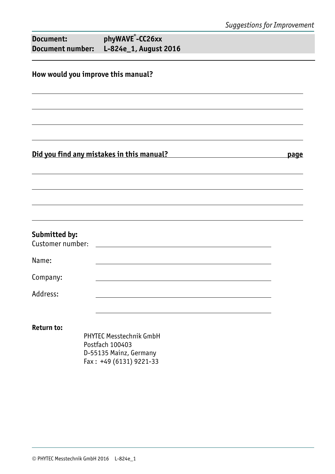| Document: | phyWAVE <sup>®</sup> -CC26xx           |
|-----------|----------------------------------------|
|           | Document number: L-824e_1, August 2016 |

#### **How would you improve this manual?**

#### **Did you find any mistakes in this manual? page**

#### **Submitted by:**

| Customer number: |  |
|------------------|--|
|                  |  |

Name:

Company:

Address:

**Return to:** 

 PHYTEC Messtechnik GmbH Postfach 100403 D-55135 Mainz, Germany Fax : +49 (6131) 9221-33